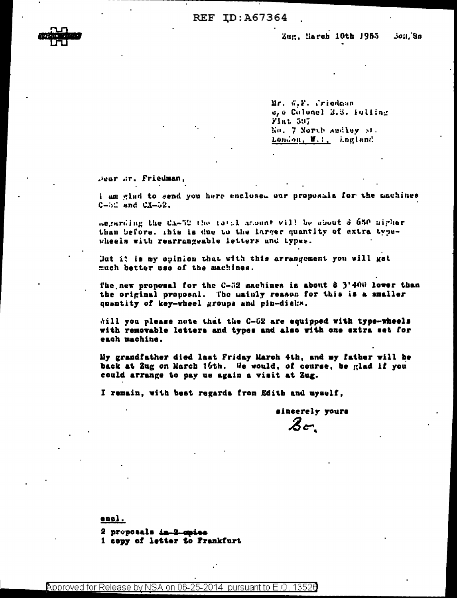Zug, March 10th 1955 **Joll** Sn

Mr. S.P. Criedman c, a Colonel 3.3. Fulling Fint 597 Ko. 7 North Andley St. London, W.I., ingland

Jear Jr. Friedman.

I am glad to send you here enclosed our proposals for the cachines  $C - 52$  and  $C X - 52$ .

aegarding the CA-52 the total ansunt will be about & 650 uigher than before, this is due to the larger quantity of extra typewheels with rearrangeable letters and types.

But it is my opinion that with this arrangement you will get much better use of the machines.

The new proposal for the C-52 machines is about & 3'400 lover than the original proposal. The mainly reason for this is a smaller quantity of key-wheel groups and pin-diaks.

will you please note that the C-52 are equipped with type-wheels with removable letters and types and also with one extra set for each machine.

My grandfather died last Friday March 4th, and my father will be back at Zug on March 16th. We would, of course, be glad if you could arrange to pay us again a visit at Zug.

I remain, with best regards from Edith and myself,

sincerely yours  $\mathcal{Z}$ or

encl.

2 proposals in 2 opies 1 copy of letter to Frankfurt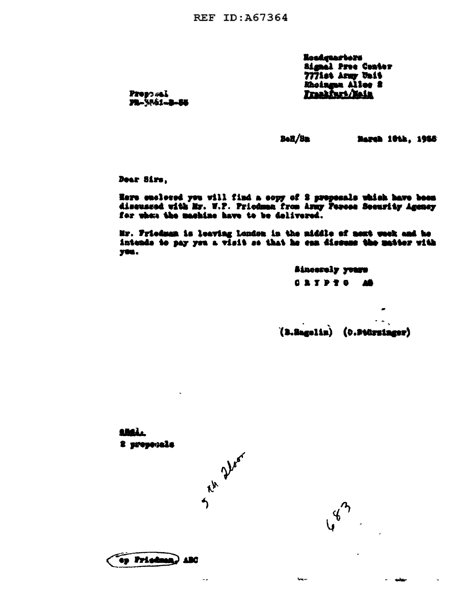**REF ID: A67364** 

Readgearters **Signal Pres Conter** 7771st Army Unit Khoingan Alles 2

Pressuel PR-3551-8-85

 $BaH/Bn$ 

**Narch 10th. 1955** 

Dear Sirs.

Here enclosed you will find a copy of 2 proposals which have been discussed with Mr. W.P. Priodmen from Army Person Security Agency for when the machine have to be delivered.

Mr. Friedman is leaving London in the niddle of next week and he intends to pay you a visit so that he can discuss the matter with yeu.

> **Sincerely yours CRYPTS AS**

(B.Bagelin) (0.Stürzinger)

**432** 

 $-$ 

المنام

<u>aralı</u> 2 proposals

ru Deor

 $\sim$ 

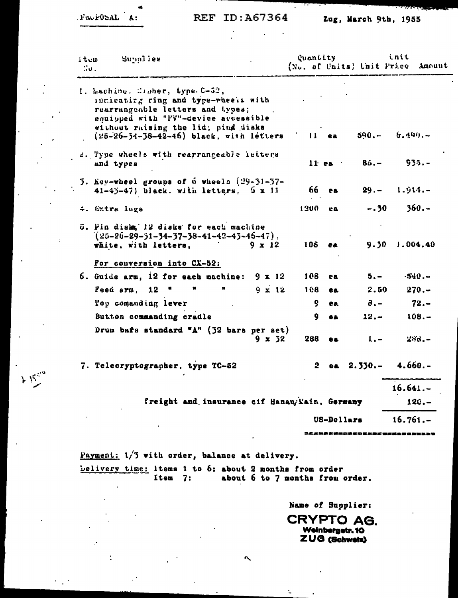$FwF05AL$  A:

 $\overline{1}$ 

 $k$  is  $\frac{1}{2}$ 

à,

 $\ddot{\phantom{a}}$ 

 $\alpha$ 

## REF ID: A67364

 $\mathbb{R}^2$ 

## Zug, March 9th, 1955

وموهنا التنافي

| item<br>$\sim$ . | Supplies                                                                                                                                           |                   | Quantity       |         | (No. of Units) Unit Price   | init<br>Amount        |
|------------------|----------------------------------------------------------------------------------------------------------------------------------------------------|-------------------|----------------|---------|-----------------------------|-----------------------|
|                  | 1. Laching. Crober, type C-52,<br>indicating ring and type-wheels with<br>rearrangeable letters and types;<br>enuipped with "FV"-device accessible |                   |                |         |                             |                       |
|                  | without raising the lid; pind disks<br>$(25-26-34-38-42-46)$ black, with letters                                                                   |                   |                | il ea   |                             | $590 - 6.499 -$       |
|                  | 2. Type wheels with rearrangeable letters<br>and types                                                                                             |                   |                |         | 11 ea $85. - 955. -$        |                       |
|                  | 3. Key-wheel groups of 6 wheels (29-31-37-<br>$41-45-47$ ) black. with letters, $5 \times 11$                                                      |                   |                | 66 ea - |                             | $29. - 1.914. -$      |
|                  | 4. Sxtra lugs                                                                                                                                      |                   | $1200$ ea      |         | $-.30$                      | $360 -$               |
|                  | 5. Fin disks, 12 disks for each machine<br>$(25 - 26 - 29 - 31 - 34 - 37 - 38 - 41 - 42 - 43 - 46 - 47)$ .<br>white, with letters,                 | $9 \times 12$     |                | 108 ea  |                             | $9.30 \quad 1.004.40$ |
|                  | For conversion into CX-52:                                                                                                                         |                   |                |         |                             |                       |
|                  | 6. Guide arm, 12 for each machine: $9 \times 12$                                                                                                   |                   | 108            | e a     | $5. -$                      | $-540 -$              |
|                  | Feed arm, 12 "<br>M                                                                                                                                | $9 \times 12$     | 108            | e a     | 2.50                        | $270 -$               |
|                  | Top comanding lever                                                                                                                                |                   | 9.             | ea      | $-8 -$                      | $72 -$                |
|                  | Button commanding cradle                                                                                                                           |                   | 9              | 68.     | $12. -$                     | $108. -$              |
|                  | Drum bafs standard "A" (32 bars per set)                                                                                                           | $9 \times 32$     | 288            | ea.     | $\mathbf{I}$ , $\mathbf{I}$ | $288 -$               |
|                  | 7. Telecryptographer, type TC-52                                                                                                                   |                   | $\mathbf{2}^-$ |         | ea $2.330--$ 4.660.-        |                       |
|                  |                                                                                                                                                    |                   |                |         |                             | $16.641. -$           |
|                  | freight and insurance cif Hanau/Yain, Germany                                                                                                      |                   | $120 -$        |         |                             |                       |
|                  |                                                                                                                                                    | <b>US-Dollars</b> |                |         | $16.761--$                  |                       |

Payment: 1/3 with order, balance at delivery. belivery time: Items 1 to 6: about 2 months from order Item 7: about 6 to 7 months from order.

Name of Supplier:

**CRYPTO AG.** Weinbergetr. 10 ZUG (Schweiz)

 $\mathbb{Z}$